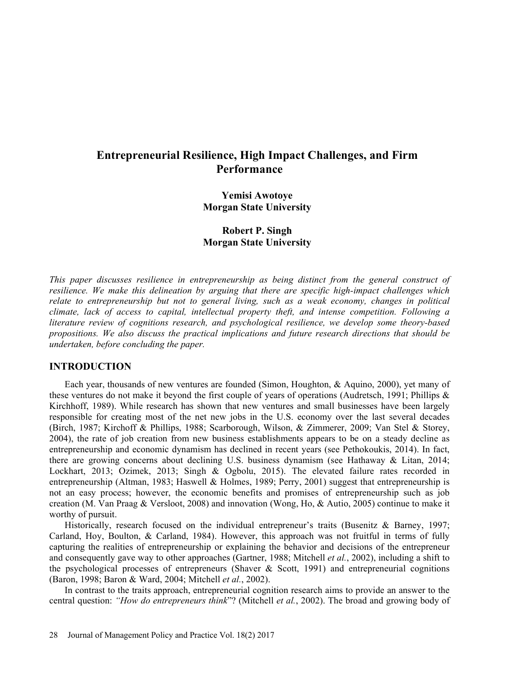# Entrepreneurial Resilience, High Impact Challenges, and Firm **Performance**

Yemisi Awotoye Morgan State University

Robert P. Singh Morgan State University

This paper discusses resilience in entrepreneurship as being distinct from the general construct of resilience. We make this delineation by arguing that there are specific high-impact challenges which relate to entrepreneurship but not to general living, such as a weak economy, changes in political climate, lack of access to capital, intellectual property theft, and intense competition. Following a literature review of cognitions research, and psychological resilience, we develop some theory-based propositions. We also discuss the practical implications and future research directions that should be undertaken, before concluding the paper.

# INTRODUCTION

Each year, thousands of new ventures are founded (Simon, Houghton, & Aquino, 2000), yet many of these ventures do not make it beyond the first couple of years of operations (Audretsch, 1991; Phillips & Kirchhoff, 1989). While research has shown that new ventures and small businesses have been largely responsible for creating most of the net new jobs in the U.S. economy over the last several decades (Birch, 1987; Kirchoff & Phillips, 1988; Scarborough, Wilson, & Zimmerer, 2009; Van Stel & Storey, 2004), the rate of job creation from new business establishments appears to be on a steady decline as entrepreneurship and economic dynamism has declined in recent years (see Pethokoukis, 2014). In fact, there are growing concerns about declining U.S. business dynamism (see Hathaway & Litan, 2014; Lockhart, 2013; Ozimek, 2013; Singh & Ogbolu, 2015). The elevated failure rates recorded in entrepreneurship (Altman, 1983; Haswell & Holmes, 1989; Perry, 2001) suggest that entrepreneurship is not an easy process; however, the economic benefits and promises of entrepreneurship such as job creation (M. Van Praag & Versloot, 2008) and innovation (Wong, Ho, & Autio, 2005) continue to make it worthy of pursuit.

Historically, research focused on the individual entrepreneur's traits (Busenitz & Barney, 1997; Carland, Hoy, Boulton, & Carland, 1984). However, this approach was not fruitful in terms of fully capturing the realities of entrepreneurship or explaining the behavior and decisions of the entrepreneur and consequently gave way to other approaches (Gartner, 1988; Mitchell *et al.*, 2002), including a shift to the psychological processes of entrepreneurs (Shaver & Scott, 1991) and entrepreneurial cognitions (Baron, 1998; Baron & Ward, 2004; Mitchell et al., 2002).

In contrast to the traits approach, entrepreneurial cognition research aims to provide an answer to the central question: "How do entrepreneurs think"? (Mitchell et al., 2002). The broad and growing body of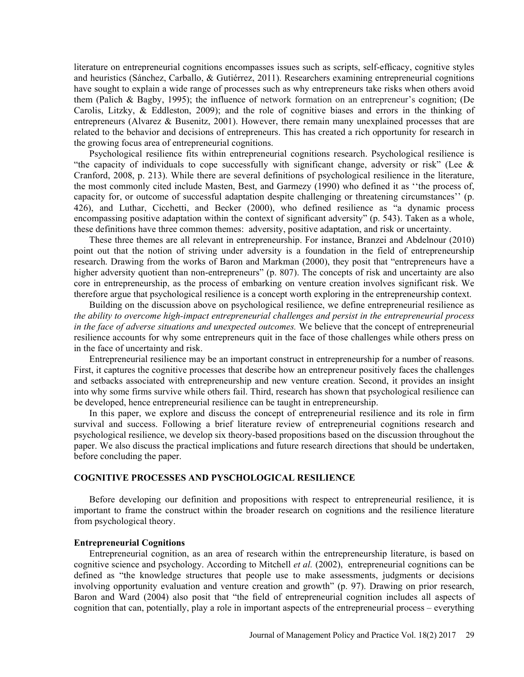literature on entrepreneurial cognitions encompasses issues such as scripts, self-efficacy, cognitive styles and heuristics (Sánchez, Carballo, & Gutiérrez, 2011). Researchers examining entrepreneurial cognitions have sought to explain a wide range of processes such as why entrepreneurs take risks when others avoid them (Palich & Bagby, 1995); the influence of network formation on an entrepreneur's cognition; (De Carolis, Litzky, & Eddleston, 2009); and the role of cognitive biases and errors in the thinking of entrepreneurs (Alvarez & Busenitz, 2001). However, there remain many unexplained processes that are related to the behavior and decisions of entrepreneurs. This has created a rich opportunity for research in the growing focus area of entrepreneurial cognitions.

Psychological resilience fits within entrepreneurial cognitions research. Psychological resilience is "the capacity of individuals to cope successfully with significant change, adversity or risk" (Lee  $\&$ Cranford, 2008, p. 213). While there are several definitions of psychological resilience in the literature, the most commonly cited include Masten, Best, and Garmezy (1990) who defined it as "the process of, capacity for, or outcome of successful adaptation despite challenging or threatening circumstances'' (p.  $426$ ), and Luthar, Cicchetti, and Becker (2000), who defined resilience as "a dynamic process encompassing positive adaptation within the context of significant adversity" (p. 543). Taken as a whole, these definitions have three common themes: adversity, positive adaptation, and risk or uncertainty.

These three themes are all relevant in entrepreneurship. For instance, Branzei and Abdelnour (2010) point out that the notion of striving under adversity is a foundation in the field of entrepreneurship research. Drawing from the works of Baron and Markman (2000), they posit that "entrepreneurs have a higher adversity quotient than non-entrepreneurs" (p. 807). The concepts of risk and uncertainty are also core in entrepreneurship, as the process of embarking on venture creation involves significant risk. We therefore argue that psychological resilience is a concept worth exploring in the entrepreneurship context.

Building on the discussion above on psychological resilience, we define entrepreneurial resilience as the ability to overcome high-impact entrepreneurial challenges and persist in the entrepreneurial process in the face of adverse situations and unexpected outcomes. We believe that the concept of entrepreneurial resilience accounts for why some entrepreneurs quit in the face of those challenges while others press on in the face of uncertainty and risk.

Entrepreneurial resilience may be an important construct in entrepreneurship for a number of reasons. First, it captures the cognitive processes that describe how an entrepreneur positively faces the challenges and setbacks associated with entrepreneurship and new venture creation. Second, it provides an insight into why some firms survive while others fail. Third, research has shown that psychological resilience can be developed, hence entrepreneurial resilience can be taught in entrepreneurship.

In this paper, we explore and discuss the concept of entrepreneurial resilience and its role in firm survival and success. Following a brief literature review of entrepreneurial cognitions research and psychological resilience, we develop six theory-based propositions based on the discussion throughout the paper. We also discuss the practical implications and future research directions that should be undertaken, before concluding the paper.

# COGNITIVE PROCESSES AND PYSCHOLOGICAL RESILIENCE

Before developing our definition and propositions with respect to entrepreneurial resilience, it is important to frame the construct within the broader research on cognitions and the resilience literature from psychological theory.

# Entrepreneurial Cognitions

Entrepreneurial cognition, as an area of research within the entrepreneurship literature, is based on cognitive science and psychology. According to Mitchell et al. (2002), entrepreneurial cognitions can be defined as "the knowledge structures that people use to make assessments, judgments or decisions involving opportunity evaluation and venture creation and growth" (p. 97). Drawing on prior research, Baron and Ward (2004) also posit that "the field of entrepreneurial cognition includes all aspects of cognition that can, potentially, play a role in important aspects of the entrepreneurial process – everything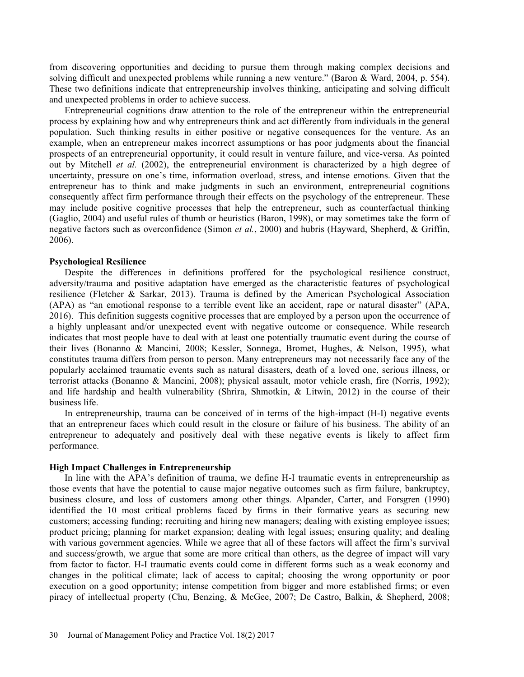from discovering opportunities and deciding to pursue them through making complex decisions and solving difficult and unexpected problems while running a new venture." (Baron & Ward, 2004, p. 554). These two definitions indicate that entrepreneurship involves thinking, anticipating and solving difficult and unexpected problems in order to achieve success.

Entrepreneurial cognitions draw attention to the role of the entrepreneur within the entrepreneurial process by explaining how and why entrepreneurs think and act differently from individuals in the general population. Such thinking results in either positive or negative consequences for the venture. As an example, when an entrepreneur makes incorrect assumptions or has poor judgments about the financial prospects of an entrepreneurial opportunity, it could result in venture failure, and vice-versa. As pointed out by Mitchell *et al.* (2002), the entrepreneurial environment is characterized by a high degree of uncertainty, pressure on one's time, information overload, stress, and intense emotions. Given that the entrepreneur has to think and make judgments in such an environment, entrepreneurial cognitions consequently affect firm performance through their effects on the psychology of the entrepreneur. These may include positive cognitive processes that help the entrepreneur, such as counterfactual thinking (Gaglio, 2004) and useful rules of thumb or heuristics (Baron, 1998), or may sometimes take the form of negative factors such as overconfidence (Simon et al., 2000) and hubris (Hayward, Shepherd, & Griffin, 2006).

Psychological Resilience<br>Despite the differences in definitions proffered for the psychological resilience construct, adversity/trauma and positive adaptation have emerged as the characteristic features of psychological resilience (Fletcher & Sarkar, 2013). Trauma is defined by the American Psychological Association (APA) as "an emotional response to a terrible event like an accident, rape or natural disaster" (APA, 2016). This definition suggests cognitive processes that are employed by a person upon the occurrence of a highly unpleasant and/or unexpected event with negative outcome or consequence. While research indicates that most people have to deal with at least one potentially traumatic event during the course of their lives (Bonanno & Mancini, 2008; Kessler, Sonnega, Bromet, Hughes, & Nelson, 1995), what constitutes trauma differs from person to person. Many entrepreneurs may not necessarily face any of the popularly acclaimed traumatic events such as natural disasters, death of a loved one, serious illness, or terrorist attacks (Bonanno & Mancini, 2008); physical assault, motor vehicle crash, fire (Norris, 1992); and life hardship and health vulnerability (Shrira, Shmotkin, & Litwin, 2012) in the course of their business life.

In entrepreneurship, trauma can be conceived of in terms of the high-impact (H-I) negative events that an entrepreneur faces which could result in the closure or failure of his business. The ability of an entrepreneur to adequately and positively deal with these negative events is likely to affect firm performance.

# High Impact Challenges in Entrepreneurship

In line with the APA's definition of trauma, we define H-I traumatic events in entrepreneurship as those events that have the potential to cause major negative outcomes such as firm failure, bankruptcy, business closure, and loss of customers among other things. Alpander, Carter, and Forsgren (1990) identified the 10 most critical problems faced by firms in their formative years as securing new customers; accessing funding; recruiting and hiring new managers; dealing with existing employee issues; product pricing; planning for market expansion; dealing with legal issues; ensuring quality; and dealing with various government agencies. While we agree that all of these factors will affect the firm's survival and success/growth, we argue that some are more critical than others, as the degree of impact will vary from factor to factor. H-I traumatic events could come in different forms such as a weak economy and changes in the political climate; lack of access to capital; choosing the wrong opportunity or poor execution on a good opportunity; intense competition from bigger and more established firms; or even piracy of intellectual property (Chu, Benzing, & McGee, 2007; De Castro, Balkin, & Shepherd, 2008;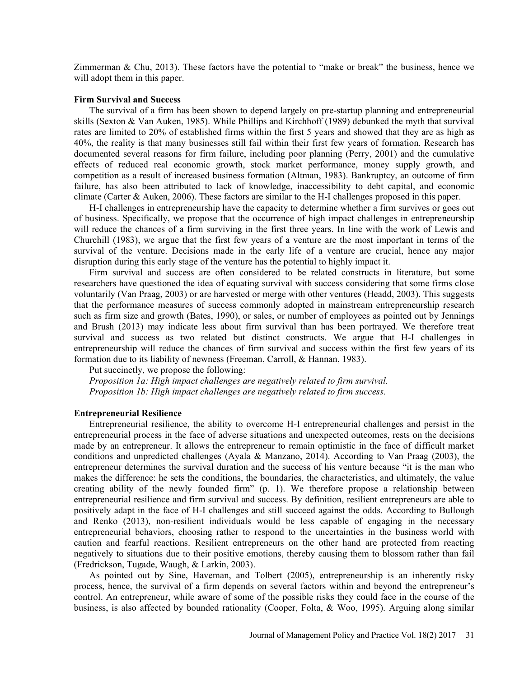Zimmerman  $\&$  Chu, 2013). These factors have the potential to "make or break" the business, hence we will adopt them in this paper.

# Firm Survival and Success

The survival of a firm has been shown to depend largely on pre-startup planning and entrepreneurial skills (Sexton & Van Auken, 1985). While Phillips and Kirchhoff (1989) debunked the myth that survival rates are limited to 20% of established firms within the first 5 years and showed that they are as high as 40%, the reality is that many businesses still fail within their first few years of formation. Research has documented several reasons for firm failure, including poor planning (Perry, 2001) and the cumulative effects of reduced real economic growth, stock market performance, money supply growth, and competition as a result of increased business formation (Altman, 1983). Bankruptcy, an outcome of firm failure, has also been attributed to lack of knowledge, inaccessibility to debt capital, and economic climate (Carter & Auken, 2006). These factors are similar to the H-I challenges proposed in this paper.

H-I challenges in entrepreneurship have the capacity to determine whether a firm survives or goes out of business. Specifically, we propose that the occurrence of high impact challenges in entrepreneurship will reduce the chances of a firm surviving in the first three years. In line with the work of Lewis and Churchill (1983), we argue that the first few years of a venture are the most important in terms of the survival of the venture. Decisions made in the early life of a venture are crucial, hence any major disruption during this early stage of the venture has the potential to highly impact it.

Firm survival and success are often considered to be related constructs in literature, but some researchers have questioned the idea of equating survival with success considering that some firms close voluntarily (Van Praag, 2003) or are harvested or merge with other ventures (Headd, 2003). This suggests that the performance measures of success commonly adopted in mainstream entrepreneurship research such as firm size and growth (Bates, 1990), or sales, or number of employees as pointed out by Jennings and Brush (2013) may indicate less about firm survival than has been portrayed. We therefore treat survival and success as two related but distinct constructs. We argue that H-I challenges in entrepreneurship will reduce the chances of firm survival and success within the first few years of its formation due to its liability of newness (Freeman, Carroll, & Hannan, 1983).

Put succinctly, we propose the following:

Proposition 1a: High impact challenges are negatively related to firm survival. Proposition 1b: High impact challenges are negatively related to firm success.

# Entrepreneurial Resilience

Entrepreneurial resilience, the ability to overcome H-I entrepreneurial challenges and persist in the entrepreneurial process in the face of adverse situations and unexpected outcomes, rests on the decisions made by an entrepreneur. It allows the entrepreneur to remain optimistic in the face of difficult market conditions and unpredicted challenges (Ayala & Manzano, 2014). According to Van Praag (2003), the entrepreneur determines the survival duration and the success of his venture because "it is the man who makes the difference: he sets the conditions, the boundaries, the characteristics, and ultimately, the value creating ability of the newly founded firm"  $(p. 1)$ . We therefore propose a relationship between entrepreneurial resilience and firm survival and success. By definition, resilient entrepreneurs are able to positively adapt in the face of H-I challenges and still succeed against the odds. According to Bullough and Renko (2013), non-resilient individuals would be less capable of engaging in the necessary entrepreneurial behaviors, choosing rather to respond to the uncertainties in the business world with caution and fearful reactions. Resilient entrepreneurs on the other hand are protected from reacting negatively to situations due to their positive emotions, thereby causing them to blossom rather than fail (Fredrickson, Tugade, Waugh, & Larkin, 2003).

As pointed out by Sine, Haveman, and Tolbert (2005), entrepreneurship is an inherently risky process, hence, the survival of a firm depends on several factors within and beyond the entrepreneur's control. An entrepreneur, while aware of some of the possible risks they could face in the course of the business, is also affected by bounded rationality (Cooper, Folta, & Woo, 1995). Arguing along similar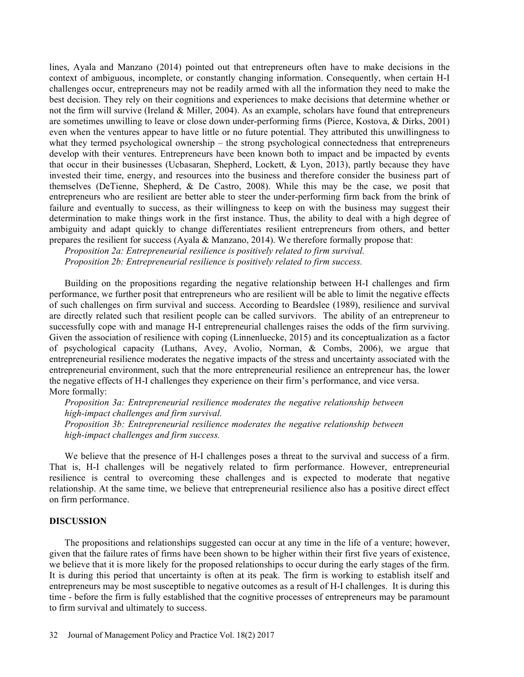lines, Ayala and Manzano (2014) pointed out that entrepreneurs often have to make decisions in the context of ambiguous, incomplete, or constantly changing information. Consequently, when certain H-I challenges occur, entrepreneurs may not be readily armed with all the information they need to make the best decision. They rely on their cognitions and experiences to make decisions that determine whether or not the firm will survive (Ireland  $&$  Miller, 2004). As an example, scholars have found that entrepreneurs are sometimes unwilling to leave or close down under-performing firms (Pierce, Kostova, & Dirks, 2001) even when the ventures appear to have little or no future potential. They attributed this unwillingness to what they termed psychological ownership  $-$  the strong psychological connectedness that entrepreneurs develop with their ventures. Entrepreneurs have been known both to impact and be impacted by events that occur in their businesses (Ucbasaran, Shepherd, Lockett, & Lyon, 2013), partly because they have invested their time, energy, and resources into the business and therefore consider the business part of themselves (DeTienne, Shepherd, & De Castro, 2008). While this may be the case, we posit that entrepreneurs who are resilient are better able to steer the under-performing firm back from the brink of failure and eventually to success, as their willingness to keep on with the business may suggest their determination to make things work in the first instance. Thus, the ability to deal with a high degree of ambiguity and adapt quickly to change differentiates resilient entrepreneurs from others, and better prepares the resilient for success (Ayala & Manzano, 2014). We therefore formally propose that:

Proposition 2a: Entrepreneurial resilience is positively related to firm survival. Proposition 2b: Entrepreneurial resilience is positively related to firm success.

Building on the propositions regarding the negative relationship between H-I challenges and firm performance, we further posit that entrepreneurs who are resilient will be able to limit the negative effects of such challenges on firm survival and success. According to Beardslee (1989), resilience and survival are directly related such that resilient people can be called survivors. The ability of an entrepreneur to successfully cope with and manage H-I entrepreneurial challenges raises the odds of the firm surviving. Given the association of resilience with coping (Linnenluecke, 2015) and its conceptualization as a factor of psychological capacity (Luthans, Avey, Avolio, Norman, & Combs, 2006), we argue that entrepreneurial resilience moderates the negative impacts of the stress and uncertainty associated with the entrepreneurial environment, such that the more entrepreneurial resilience an entrepreneur has, the lower the negative effects of H-I challenges they experience on their firm's performance, and vice versa. More formally:

Proposition 3a: Entrepreneurial resilience moderates the negative relationship between high-impact challenges and firm survival. Proposition 3b: Entrepreneurial resilience moderates the negative relationship between high-impact challenges and firm success.

We believe that the presence of H-I challenges poses a threat to the survival and success of a firm. That is, H-I challenges will be negatively related to firm performance. However, entrepreneurial resilience is central to overcoming these challenges and is expected to moderate that negative relationship. At the same time, we believe that entrepreneurial resilience also has a positive direct effect on firm performance.

# DISCUSSION

The propositions and relationships suggested can occur at any time in the life of a venture; however, given that the failure rates of firms have been shown to be higher within their first five years of existence, we believe that it is more likely for the proposed relationships to occur during the early stages of the firm. It is during this period that uncertainty is often at its peak. The firm is working to establish itself and entrepreneurs may be most susceptible to negative outcomes as a result of H-I challenges. It is during this time - before the firm is fully established that the cognitive processes of entrepreneurs may be paramount to firm survival and ultimately to success.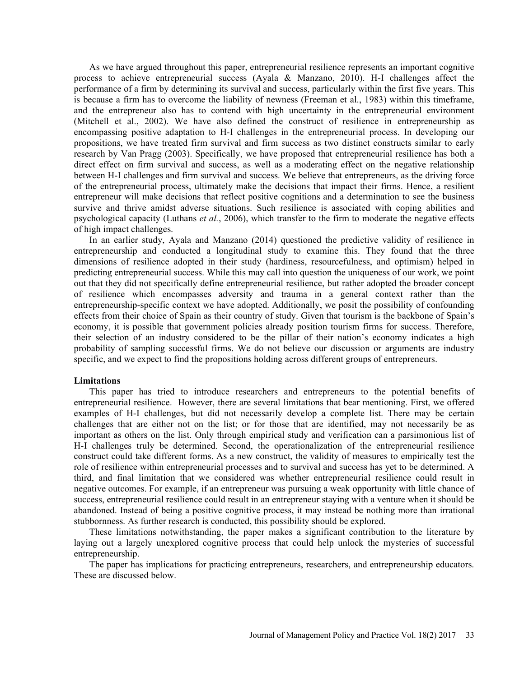As we have argued throughout this paper, entrepreneurial resilience represents an important cognitive process to achieve entrepreneurial success (Ayala & Manzano, 2010). H-I challenges affect the performance of a firm by determining its survival and success, particularly within the first five years. This is because a firm has to overcome the liability of newness (Freeman et al., 1983) within this timeframe, and the entrepreneur also has to contend with high uncertainty in the entrepreneurial environment (Mitchell et al., 2002). We have also defined the construct of resilience in entrepreneurship as encompassing positive adaptation to H-I challenges in the entrepreneurial process. In developing our propositions, we have treated firm survival and firm success as two distinct constructs similar to early research by Van Pragg (2003). Specifically, we have proposed that entrepreneurial resilience has both a direct effect on firm survival and success, as well as a moderating effect on the negative relationship between H-I challenges and firm survival and success. We believe that entrepreneurs, as the driving force of the entrepreneurial process, ultimately make the decisions that impact their firms. Hence, a resilient entrepreneur will make decisions that reflect positive cognitions and a determination to see the business survive and thrive amidst adverse situations. Such resilience is associated with coping abilities and psychological capacity (Luthans et al., 2006), which transfer to the firm to moderate the negative effects of high impact challenges.

In an earlier study, Ayala and Manzano (2014) questioned the predictive validity of resilience in entrepreneurship and conducted a longitudinal study to examine this. They found that the three dimensions of resilience adopted in their study (hardiness, resourcefulness, and optimism) helped in predicting entrepreneurial success. While this may call into question the uniqueness of our work, we point out that they did not specifically define entrepreneurial resilience, but rather adopted the broader concept of resilience which encompasses adversity and trauma in a general context rather than the entrepreneurship-specific context we have adopted. Additionally, we posit the possibility of confounding effects from their choice of Spain as their country of study. Given that tourism is the backbone of Spain's economy, it is possible that government policies already position tourism firms for success. Therefore, their selection of an industry considered to be the pillar of their nation's economy indicates a high probability of sampling successful firms. We do not believe our discussion or arguments are industry specific, and we expect to find the propositions holding across different groups of entrepreneurs.

## Limitations

This paper has tried to introduce researchers and entrepreneurs to the potential benefits of entrepreneurial resilience. However, there are several limitations that bear mentioning. First, we offered examples of H-I challenges, but did not necessarily develop a complete list. There may be certain challenges that are either not on the list; or for those that are identified, may not necessarily be as important as others on the list. Only through empirical study and verification can a parsimonious list of H-I challenges truly be determined. Second, the operationalization of the entrepreneurial resilience construct could take different forms. As a new construct, the validity of measures to empirically test the role of resilience within entrepreneurial processes and to survival and success has yet to be determined. A third, and final limitation that we considered was whether entrepreneurial resilience could result in negative outcomes. For example, if an entrepreneur was pursuing a weak opportunity with little chance of success, entrepreneurial resilience could result in an entrepreneur staying with a venture when it should be abandoned. Instead of being a positive cognitive process, it may instead be nothing more than irrational stubbornness. As further research is conducted, this possibility should be explored. their selection of an industry considered to be the pillar of their nation's economy inc<br>probability of sampling successful firms. We do not believe our discussion or arguments<br>probability of sampling successful firms. We

These limitations notwithstanding, the paper makes a significant contribution to the literature by laying out a largely unexplored cognitive process that could help unlock the mysteries of successful

The paper has implications for practicing entrepreneurs, researchers, and entrepreneurship educators. These are discussed below.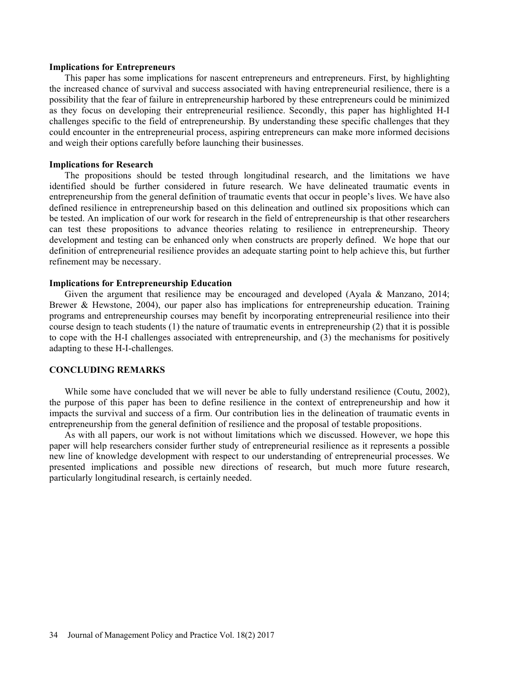### Implications for Entrepreneurs

This paper has some implications for nascent entrepreneurs and entrepreneurs. First, by highlighting the increased chance of survival and success associated with having entrepreneurial resilience, there is a possibility that the fear of failure in entrepreneurship harbored by these entrepreneurs could be minimized as they focus on developing their entrepreneurial resilience. Secondly, this paper has highlighted H-I challenges specific to the field of entrepreneurship. By understanding these specific challenges that they could encounter in the entrepreneurial process, aspiring entrepreneurs can make more informed decisions and weigh their options carefully before launching their businesses.

# Implications for Research

The propositions should be tested through longitudinal research, and the limitations we have identified should be further considered in future research. We have delineated traumatic events in entrepreneurship from the general definition of traumatic events that occur in people's lives. We have also defined resilience in entrepreneurship based on this delineation and outlined six propositions which can be tested. An implication of our work for research in the field of entrepreneurship is that other researchers can test these propositions to advance theories relating to resilience in entrepreneurship. Theory development and testing can be enhanced only when constructs are properly defined. We hope that our definition of entrepreneurial resilience provides an adequate starting point to help achieve this, but further refinement may be necessary.

# Implications for Entrepreneurship Education

Given the argument that resilience may be encouraged and developed (Ayala & Manzano, 2014; Brewer & Hewstone, 2004), our paper also has implications for entrepreneurship education. Training programs and entrepreneurship courses may benefit by incorporating entrepreneurial resilience into their course design to teach students (1) the nature of traumatic events in entrepreneurship (2) that it is possible to cope with the H-I challenges associated with entrepreneurship, and (3) the mechanisms for positively adapting to these H-I-challenges.

### CONCLUDING REMARKS

While some have concluded that we will never be able to fully understand resilience (Coutu, 2002), the purpose of this paper has been to define resilience in the context of entrepreneurship and how it impacts the survival and success of a firm. Our contribution lies in the delineation of traumatic events in entrepreneurship from the general definition of resilience and the proposal of testable propositions.

As with all papers, our work is not without limitations which we discussed. However, we hope this paper will help researchers consider further study of entrepreneurial resilience as it represents a possible new line of knowledge development with respect to our understanding of entrepreneurial processes. We presented implications and possible new directions of research, but much more future research, particularly longitudinal research, is certainly needed.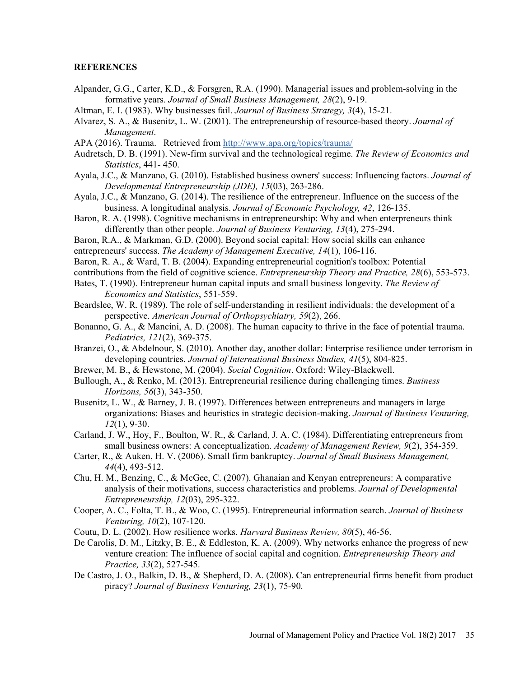# **REFERENCES**

- Alpander, G.G., Carter, K.D., & Forsgren, R.A. (1990). Managerial issues and problem-solving in the formative years. Journal of Small Business Management, 28(2), 9-19.
- Altman, E. I. (1983). Why businesses fail. Journal of Business Strategy, 3(4), 15-21.
- Alvarez, S. A., & Busenitz, L. W. (2001). The entrepreneurship of resource-based theory. Journal of Management. APA (2016). Trauma. Retrieved from http://www.apa.org/topics/trauma/
- 
- Audretsch, D. B. (1991). New-firm survival and the technological regime. The Review of Economics and Statistics, 441- 450.
- Ayala, J.C., & Manzano, G. (2010). Established business owners' success: Influencing factors. Journal of Developmental Entrepreneurship (JDE), 15(03), 263-286.
- Ayala, J.C., & Manzano, G. (2014). The resilience of the entrepreneur. Influence on the success of the business. A longitudinal analysis. Journal of Economic Psychology, 42, 126-135.
- Baron, R. A. (1998). Cognitive mechanisms in entrepreneurship: Why and when enterpreneurs think differently than other people. Journal of Business Venturing, 13(4), 275-294.
- Baron, R.A., & Markman, G.D. (2000). Beyond social capital: How social skills can enhance
- entrepreneurs' success. The Academy of Management Executive, 14(1), 106-116.
- Baron, R. A., & Ward, T. B. (2004). Expanding entrepreneurial cognition's toolbox: Potential
- contributions from the field of cognitive science. Entrepreneurship Theory and Practice, 28(6), 553-573.
- Bates, T. (1990). Entrepreneur human capital inputs and small business longevity. The Review of Economics and Statistics, 551-559.
- Beardslee, W. R. (1989). The role of self-understanding in resilient individuals: the development of a perspective. American Journal of Orthopsychiatry, 59(2), 266.
- Bonanno, G. A., & Mancini, A. D. (2008). The human capacity to thrive in the face of potential trauma. Pediatrics, 121(2), 369-375.
- Branzei, O., & Abdelnour, S. (2010). Another day, another dollar: Enterprise resilience under terrorism in developing countries. Journal of International Business Studies, 41(5), 804-825.
- Brewer, M. B., & Hewstone, M. (2004). Social Cognition. Oxford: Wiley-Blackwell.
- Bullough, A., & Renko, M. (2013). Entrepreneurial resilience during challenging times. Business Horizons, 56(3), 343-350.
- Busenitz, L. W., & Barney, J. B. (1997). Differences between entrepreneurs and managers in large organizations: Biases and heuristics in strategic decision-making. Journal of Business Venturing,  $12(1)$ , 9-30.
- Carland, J. W., Hoy, F., Boulton, W. R., & Carland, J. A. C. (1984). Differentiating entrepreneurs from small business owners: A conceptualization. Academy of Management Review, 9(2), 354-359.
- Carter, R., & Auken, H. V. (2006). Small firm bankruptcy. Journal of Small Business Management, 44(4), 493-512.
- Chu, H. M., Benzing, C., & McGee, C. (2007). Ghanaian and Kenyan entrepreneurs: A comparative analysis of their motivations, success characteristics and problems. Journal of Developmental Entrepreneurship, 12(03), 295-322.
- Cooper, A. C., Folta, T. B., & Woo, C. (1995). Entrepreneurial information search. Journal of Business Venturing, 10(2), 107-120.
- Coutu, D. L. (2002). How resilience works. Harvard Business Review, 80(5), 46-56.
- De Carolis, D. M., Litzky, B. E., & Eddleston, K. A. (2009). Why networks enhance the progress of new venture creation: The influence of social capital and cognition. Entrepreneurship Theory and Practice, 33(2), 527-545.
- De Castro, J. O., Balkin, D. B., & Shepherd, D. A. (2008). Can entrepreneurial firms benefit from product piracy? Journal of Business Venturing, 23(1), 75-90.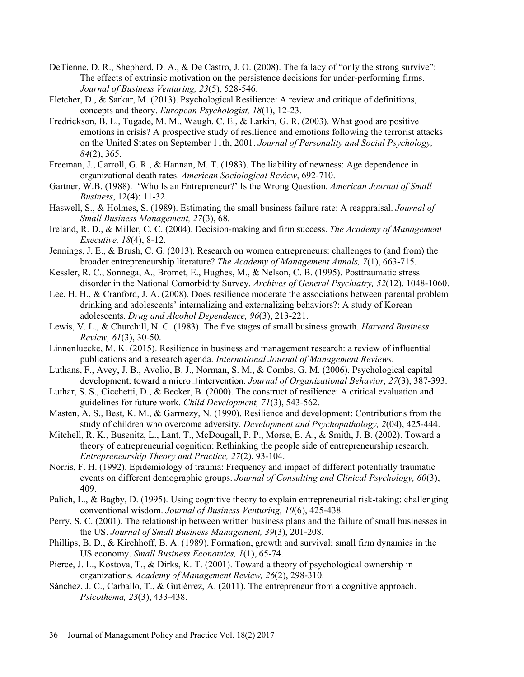- DeTienne, D. R., Shepherd, D. A., & De Castro, J. O. (2008). The fallacy of "only the strong survive": The effects of extrinsic motivation on the persistence decisions for under-performing firms. Journal of Business Venturing, 23(5), 528-546.
- Fletcher, D., & Sarkar, M. (2013). Psychological Resilience: A review and critique of definitions, concepts and theory. European Psychologist, 18(1), 12-23.
- Fredrickson, B. L., Tugade, M. M., Waugh, C. E., & Larkin, G. R. (2003). What good are positive emotions in crisis? A prospective study of resilience and emotions following the terrorist attacks on the United States on September 11th, 2001. Journal of Personality and Social Psychology, 84(2), 365.
- Freeman, J., Carroll, G. R., & Hannan, M. T. (1983). The liability of newness: Age dependence in organizational death rates. American Sociological Review, 692-710.
- Gartner, W.B. (1988). 'Who Is an Entrepreneur?' Is the Wrong Question. American Journal of Small Business, 12(4): 11-32.
- Haswell, S., & Holmes, S. (1989). Estimating the small business failure rate: A reappraisal. *Journal of* Small Business Management, 27(3), 68.
- Ireland, R. D., & Miller, C. C. (2004). Decision-making and firm success. The Academy of Management Executive, 18(4), 8-12.
- Jennings, J. E., & Brush, C. G. (2013). Research on women entrepreneurs: challenges to (and from) the broader entrepreneurship literature? The Academy of Management Annals, 7(1), 663-715.
- Kessler, R. C., Sonnega, A., Bromet, E., Hughes, M., & Nelson, C. B. (1995). Posttraumatic stress disorder in the National Comorbidity Survey. Archives of General Psychiatry, 52(12), 1048-1060.
- Lee, H. H., & Cranford, J. A. (2008). Does resilience moderate the associations between parental problem drinking and adolescents' internalizing and externalizing behaviors?: A study of Korean adolescents. Drug and Alcohol Dependence, 96(3), 213-221.
- Lewis, V. L., & Churchill, N. C. (1983). The five stages of small business growth. Harvard Business Review, 61(3), 30-50.
- Linnenluecke, M. K. (2015). Resilience in business and management research: a review of influential publications and a research agenda. *International Journal of Management Reviews*.<br>Luthans, F., Avey, J. B., Avolio, B. J., Norman, S. M., & Combs, G. M. (2006). Psychological capital
- development: toward a micro $\Box$ intervention. Journal of Organizational Behavior, 27(3), 387-393.
- Luthar, S. S., Cicchetti, D., & Becker, B. (2000). The construct of resilience: A critical evaluation and guidelines for future work. Child Development, 71(3), 543-562.
- Masten, A. S., Best, K. M., & Garmezy, N. (1990). Resilience and development: Contributions from the study of children who overcome adversity. Development and Psychopathology, 2(04), 425-444.
- Mitchell, R. K., Busenitz, L., Lant, T., McDougall, P. P., Morse, E. A., & Smith, J. B. (2002). Toward a theory of entrepreneurial cognition: Rethinking the people side of entrepreneurship research. Entrepreneurship Theory and Practice, 27(2), 93-104.
- Norris, F. H. (1992). Epidemiology of trauma: Frequency and impact of different potentially traumatic events on different demographic groups. Journal of Consulting and Clinical Psychology, 60(3), 409.
- Palich, L., & Bagby, D. (1995). Using cognitive theory to explain entrepreneurial risk-taking: challenging conventional wisdom. Journal of Business Venturing, 10(6), 425-438.
- Perry, S. C. (2001). The relationship between written business plans and the failure of small businesses in the US. Journal of Small Business Management, 39(3), 201-208.
- Phillips, B. D., & Kirchhoff, B. A. (1989). Formation, growth and survival; small firm dynamics in the US economy. Small Business Economics, 1(1), 65-74.
- Pierce, J. L., Kostova, T., & Dirks, K. T. (2001). Toward a theory of psychological ownership in organizations. Academy of Management Review, 26(2), 298-310.
- Sánchez, J. C., Carballo, T., & Gutiérrez, A. (2011). The entrepreneur from a cognitive approach. Psicothema, 23(3), 433-438.